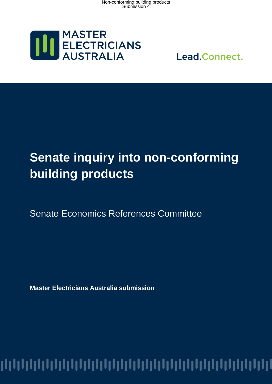

Lead.Connect.

# **Senate inquiry into non-conforming building products**

Senate Economics References Committee

**Master Electricians Australia submission**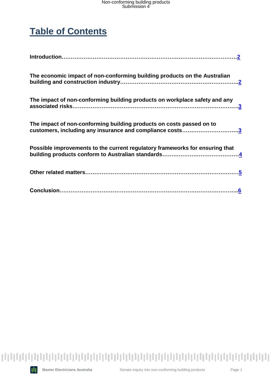### **Table of Contents**

| The economic impact of non-conforming building products on the Australian                                                        |
|----------------------------------------------------------------------------------------------------------------------------------|
| The impact of non-conforming building products on workplace safety and any                                                       |
| The impact of non-conforming building products on costs passed on to<br>customers, including any insurance and compliance costs3 |
| Possible improvements to the current regulatory frameworks for ensuring that                                                     |
|                                                                                                                                  |
|                                                                                                                                  |

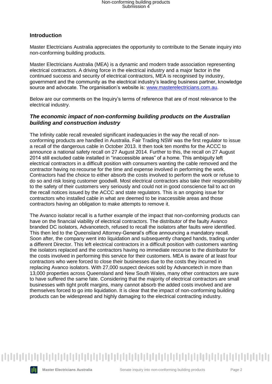#### <span id="page-2-0"></span>**Introduction**

Master Electricians Australia appreciates the opportunity to contribute to the Senate inquiry into non-conforming building products.

Master Electricians Australia (MEA) is a dynamic and modern trade association representing electrical contractors. A driving force in the electrical industry and a major factor in the continued success and security of electrical contractors, MEA is recognised by industry, government and the community as the electrical industry's leading business partner, knowledge source and advocate. The organisation's website is: [www.masterelectricians.com.au.](http://www.masterelectricians.com.au/)

Below are our comments on the Inquiry's terms of reference that are of most relevance to the electrical industry.

#### <span id="page-2-1"></span>*The economic impact of non-conforming building products on the Australian building and construction industry*

The Infinity cable recall revealed significant inadequacies in the way the recall of nonconforming products are handled in Australia. Fair Trading NSW was the first regulator to issue a recall of the dangerous cable in October 2013. It then took ten months for the ACCC to announce a national safety recall on 27 August 2014. Further to this, the recall on 27 August 2014 still excluded cable installed in "inaccessible areas" of a home. This ambiguity left electrical contractors in a difficult position with consumers wanting the cable removed and the contractor having no recourse for the time and expense involved in performing the work. Contractors had the choice to either absorb the costs involved to perform the work or refuse to do so and risk losing customer goodwill. Most electrical contractors also take their responsibility to the safety of their customers very seriously and could not in good conscience fail to act on the recall notices issued by the ACCC and state regulators. This is an ongoing issue for contractors who installed cable in what are deemed to be inaccessible areas and those contractors having an obligation to make attempts to remove it.

The Avanco isolator recall is a further example of the impact that non-conforming products can have on the financial viability of electrical contractors. The distributor of the faulty Avanco branded DC isolators, Advancetech, refused to recall the isolators after faults were identified. This then led to the Queensland Attorney-General's office announcing a mandatory recall. Soon after, the company went into liquidation and subsequently changed hands, trading under a different Director. This left electrical contractors in a difficult position with customers wanting the isolators replaced and the contractors having no immediate recourse to the distributor for the costs involved in performing this service for their customers. MEA is aware of at least four contractors who were forced to close their businesses due to the costs they incurred in replacing Avanco isolators. With 27,000 suspect devices sold by Advancetech in more than 13,000 properties across Queensland and New South Wales, many other contractors are sure to have suffered the same fate. Considering that the majority of electrical contractors are small businesses with tight profit margins, many cannot absorb the added costs involved and are themselves forced to go into liquidation. It is clear that the impact of non-conforming building products can be widespread and highly damaging to the electrical contracting industry.

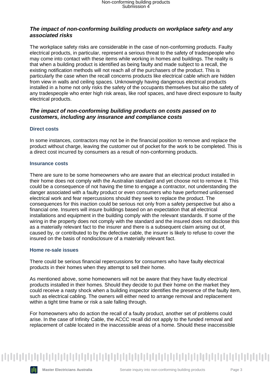#### <span id="page-3-0"></span>*The impact of non-conforming building products on workplace safety and any associated risks*

The workplace safety risks are considerable in the case of non-conforming products. Faulty electrical products, in particular, represent a serious threat to the safety of tradespeople who may come into contact with these items while working in homes and buildings. The reality is that when a building product is identified as being faulty and made subject to a recall, the existing notification methods will not reach all of the purchasers of the product. This is particularly the case when the recall concerns products like electrical cable which are hidden from view in walls and ceiling spaces. Unknowingly having dangerous electrical products installed in a home not only risks the safety of the occupants themselves but also the safety of any tradespeople who enter high risk areas, like roof spaces, and have direct exposure to faulty electrical products.

#### <span id="page-3-1"></span>*The impact of non-conforming building products on costs passed on to customers, including any insurance and compliance costs*

#### **Direct costs**

In some instances, contractors may not be in the financial position to remove and replace the product without charge, leaving the customer out of pocket for the work to be completed. This is a direct cost incurred by consumers as a result of non-conforming products.

#### **Insurance costs**

There are sure to be some homeowners who are aware that an electrical product installed in their home does not comply with the Australian standard and yet choose not to remove it. This could be a consequence of not having the time to engage a contractor, not understanding the danger associated with a faulty product or even consumers who have performed unlicensed electrical work and fear repercussions should they seek to replace the product. The consequences for this inaction could be serious not only from a safety perspective but also a financial one. Insurers will insure buildings based on an expectation that all electrical installations and equipment in the building comply with the relevant standards. If some of the wiring in the property does not comply with the standard and the insured does not disclose this as a materially relevant fact to the insurer and there is a subsequent claim arising out of, caused by, or contributed to by the defective cable, the insurer is likely to refuse to cover the insured on the basis of nondisclosure of a materially relevant fact.

#### **Home re-sale issues**

There could be serious financial repercussions for consumers who have faulty electrical products in their homes when they attempt to sell their home.

As mentioned above, some homeowners will not be aware that they have faulty electrical products installed in their homes. Should they decide to put their home on the market they could receive a nasty shock when a building inspector identifies the presence of the faulty item, such as electrical cabling. The owners will either need to arrange removal and replacement within a tight time frame or risk a sale falling through.

For homeowners who do action the recall of a faulty product, another set of problems could arise. In the case of Infinity Cable, the ACCC recall did not apply to the funded removal and replacement of cable located in the inaccessible areas of a home. Should these inaccessible

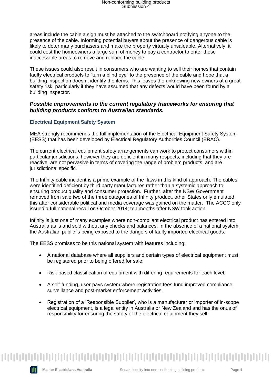areas include the cable a sign must be attached to the switchboard notifying anyone to the presence of the cable. Informing potential buyers about the presence of dangerous cable is likely to deter many purchasers and make the property virtually unsaleable. Alternatively, it could cost the homeowners a large sum of money to pay a contractor to enter these inaccessible areas to remove and replace the cable.

These issues could also result in consumers who are wanting to sell their homes that contain faulty electrical products to "turn a blind eye" to the presence of the cable and hope that a building inspection doesn't identify the items. This leaves the unknowing new owners at a great safety risk, particularly if they have assumed that any defects would have been found by a building inspector.

#### <span id="page-4-0"></span>*Possible improvements to the current regulatory frameworks for ensuring that building products conform to Australian standards.*

#### **Electrical Equipment Safety System**

MEA strongly recommends the full implementation of the Electrical Equipment Safety System (EESS) that has been developed by Electrical Regulatory Authorities Council (ERAC).

The current electrical equipment safety arrangements can work to protect consumers within particular jurisdictions, however they are deficient in many respects, including that they are reactive, are not pervasive in terms of covering the range of problem products, and are jurisdictional specific.

The Infinity cable incident is a prime example of the flaws in this kind of approach. The cables were identified deficient by third party manufactures rather than a systemic approach to ensuring product quality and consumer protection. Further, after the NSW Government removed from sale two of the three categories of Infinity product, other States only emulated this after considerable political and media coverage was gained on the matter. The ACCC only issued a full national recall on October 2014; ten months after NSW took action.

Infinity is just one of many examples where non-compliant electrical product has entered into Australia as is and sold without any checks and balances. In the absence of a national system, the Australian public is being exposed to the dangers of faulty imported electrical goods.

The EESS promises to be this national system with features including:

- A national database where all suppliers and certain types of electrical equipment must be registered prior to being offered for sale;
- Risk based classification of equipment with differing requirements for each level;
- A self-funding, user-pays system where registration fees fund improved compliance, surveillance and post-market enforcement activities.
- Registration of a 'Responsible Supplier', who is a manufacturer or importer of in-scope electrical equipment, is a legal entity in Australia or New Zealand and has the onus of responsibility for ensuring the safety of the electrical equipment they sell.



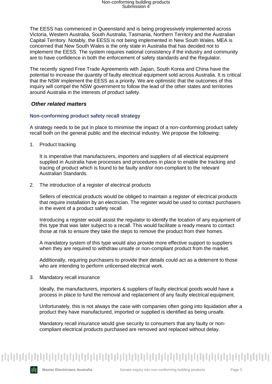The EESS has commenced in Queensland and is being progressively implemented across Victoria, Western Australia, South Australia, Tasmania, Northern Territory and the Australian Capital Territory. Notably, the EESS is not being implemented in New South Wales. MEA is concerned that New South Wales is the only state in Australia that has decided not to implement the EESS. The system requires national consistency if the industry and community are to have confidence in both the enforcement of safety standards and the Regulator.

The recently signed Free Trade Agreements with Japan, South Korea and China have the potential to increase the quantity of faulty electrical equipment sold across Australia. It is critical that the NSW implement the EESS as a priority. We are optimistic that the outcomes of this inquiry will compel the NSW government to follow the lead of the other states and territories around Australia in the interests of product safety.

#### <span id="page-5-0"></span>*Other related matters*

#### **Non-conforming product safety recall strategy**

A strategy needs to be put in place to minimise the impact of a non-conforming product safety recall both on the general public and the electrical industry. We propose the following:

1. Product tracking

It is imperative that manufacturers, importers and suppliers of all electrical equipment supplied in Australia have processes and procedures in place to enable the tracking and tracing of product which is found to be faulty and/or non-compliant to the relevant Australian Standards.

2. The introduction of a register of electrical products

Sellers of electrical products would be obliged to maintain a register of electrical products that require installation by an electrician. The register would be used to contact purchasers in the event of a product safety recall

Introducing a register would assist the regulator to identify the location of any equipment of this type that was later subject to a recall. This would facilitate a ready means to contact those at risk to ensure they take the steps to remove the product from their homes.

A mandatory system of this type would also provide more effective support to suppliers when they are required to withdraw unsafe or non-compliant product from the market.

Additionally, requiring purchasers to provide their details could act as a deterrent to those who are intending to perform unlicensed electrical work.

3. Mandatory recall insurance

Ideally, the manufacturers, importers & suppliers of faulty electrical goods would have a process in place to fund the removal and replacement of any faulty electrical equipment.

Unfortunately, this is not always the case with companies often going into liquidation after a product they have manufactured, imported or supplied is identified as being unsafe.

Mandatory recall insurance would give security to consumers that any faulty or noncompliant electrical products purchased are removed and replaced without delay.